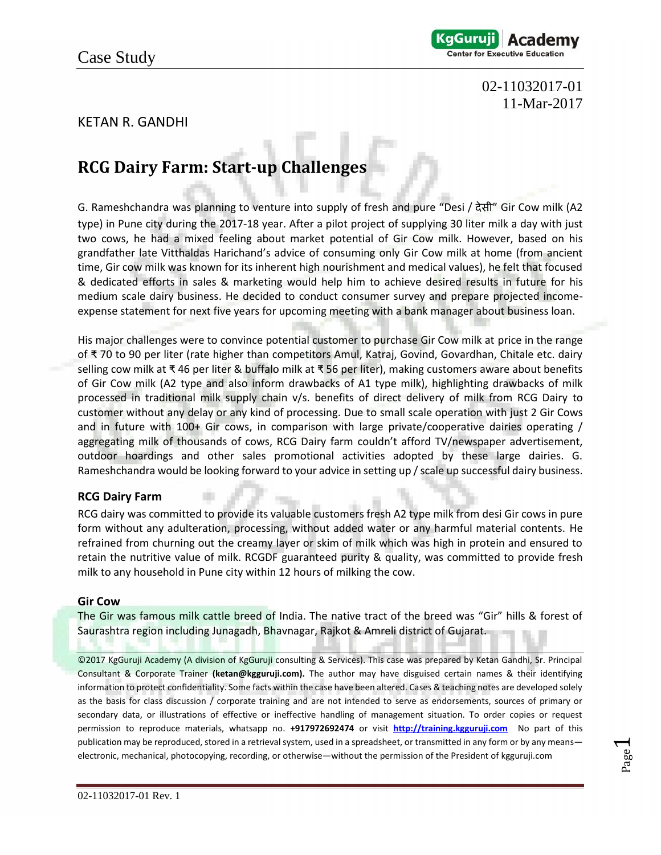

### 02-11032017-01 11-Mar-2017

### KETAN R. GANDHI

# **RCG Dairy Farm: Start-up Challenges**

G. Rameshchandra was planning to venture into supply of fresh and pure "Desi / देसी" Gir Cow milk (A2 type) in Pune city during the 2017-18 year. After a pilot project of supplying 30 liter milk a day with just two cows, he had a mixed feeling about market potential of Gir Cow milk. However, based on his grandfather late Vitthaldas Harichand's advice of consuming only Gir Cow milk at home (from ancient time, Gir cow milk was known for its inherent high nourishment and medical values), he felt that focused & dedicated efforts in sales & marketing would help him to achieve desired results in future for his medium scale dairy business. He decided to conduct consumer survey and prepare projected income expense statement for next five years for upcoming meeting with a bank manager about business loan.

His major challenges were to convince potential customer to purchase Gir Cow milk at price in the range of ₹ 70 to 90 per liter (rate higher than competitors Amul, Katraj, Govind, Govardhan, Chitale etc. dairy selling cow milk at ₹ 46 per liter & buffalo milk at ₹ 56 per liter), making customers aware about benefits of Gir Cow milk (A2 type and also inform drawbacks of A1 type milk), highlighting drawbacks of milk processed in traditional milk supply chain v/s. benefits of direct delivery of milk from RCG Dairy to customer without any delay or any kind of processing. Due to small scale operation with just 2 Gir Cows and in future with 100+ Gir cows, in comparison with large private/cooperative dairies operating / aggregating milk of thousands of cows, RCG Dairy farm couldn't afford TV/newspaper advertisement, outdoor hoardings and other sales promotional activities adopted by these large dairies. G. Rameshchandra would be looking forward to your advice in setting up / scale up successful dairy business.

### **RCG Dairy Farm**

RCG dairy was committed to provide its valuable customers fresh A2 type milk from desi Gir cows in pure form without any adulteration, processing, without added water or any harmful material contents. He refrained from churning out the creamy layer or skim of milk which was high in protein and ensured to retain the nutritive value of milk. RCGDF guaranteed purity & quality, was committed to provide fresh milk to any household in Pune city within 12 hours of milking the cow.

#### **Gir Cow**

The Gir was famous milk cattle breed of India. The native tract of the breed was "Gir" hills & forest of Saurashtra region including Junagadh, Bhavnagar, Rajkot & Amreli district of Gujarat.

©2017 KgGuruji Academy (A division of KgGuruji consulting & Services). This case was prepared by Ketan Gandhi, Sr. Principal Consultant & Corporate Trainer **(ketan@kgguruji.com).** The author may have disguised certain names & their identifying information to protect confidentiality. Some facts within the case have been altered. Cases & teaching notes are developed solely as the basis for class discussion / corporate training and are not intended to serve as endorsements, sources of primary or secondary data, or illustrations of effective or ineffective handling of management situation. To order copies or request permission to reproduce materials, whatsapp no. **+917972692474** or visit **http://training.kgguruji.com** No part of this publication may be reproduced, stored in a retrieval system, used in a spreadsheet, or transmitted in any form or by any means electronic, mechanical, photocopying, recording, or otherwise—without the permission of the President of kgguruji.com

Page  $\overline{\phantom{0}}$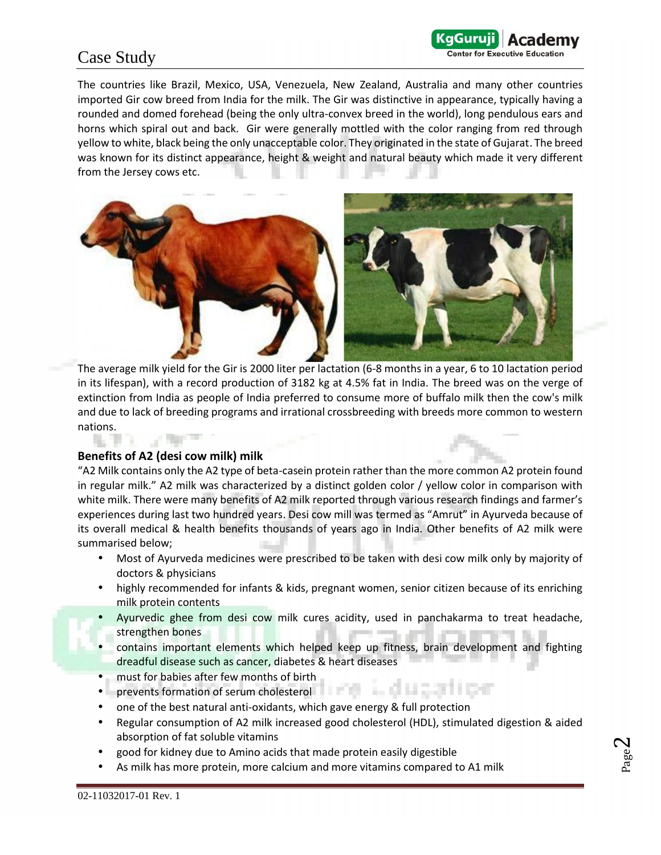### Case Study

The countries like Brazil, Mexico, USA, Venezuela, New Zealand, Australia and many other countries imported Gir cow breed from India for the milk. The Gir was distinctive in appearance, typically having a rounded and domed forehead (being the only ultra-convex breed in the world), long pendulous ears and horns which spiral out and back. Gir were generally mottled with the color ranging from red through yellow to white, black being the only unacceptable color. They originated in the state of Gujarat. The breed was known for its distinct appearance, height & weight and natural beauty which made it very different from the Jersey cows etc.

KaGuruii

**Center for Executive Education** 



The average milk yield for the Gir is 2000 liter per lactation (6-8 months in a year, 6 to 10 lactation period in its lifespan), with a record production of 3182 kg at 4.5% fat in India. The breed was on the verge of extinction from India as people of India preferred to consume more of buffalo milk then the cow's milk and due to lack of breeding programs and irrational crossbreeding with breeds more common to western nations.

### **Benefits of A2 (desi cow milk) milk**

"A2 Milk contains only the A2 type of beta-casein protein rather than the more common A2 protein found in regular milk." A2 milk was characterized by a distinct golden color / yellow color in comparison with white milk. There were many benefits of A2 milk reported through various research findings and farmer's experiences during last two hundred years. Desi cow mill was termed as "Amrut" in Ayurveda because of its overall medical & health benefits thousands of years ago in India. Other benefits of A2 milk were summarised below;

- Most of Ayurveda medicines were prescribed to be taken with desi cow milk only by majority of doctors & physicians
- highly recommended for infants & kids, pregnant women, senior citizen because of its enriching milk protein contents
	- Ayurvedic ghee from desi cow milk cures acidity, used in panchakarma to treat headache, strengthen bones
	- contains important elements which helped keep up fitness, brain development and fighting dreadful disease such as cancer, diabetes & heart diseases
- must for babies after few months of birth
- prevents formation of serum cholesterol
- one of the best natural anti-oxidants, which gave energy & full protection
- Regular consumption of A2 milk increased good cholesterol (HDL), stimulated digestion & aided absorption of fat soluble vitamins
- good for kidney due to Amino acids that made protein easily digestible
- As milk has more protein, more calcium and more vitamins compared to A1 milk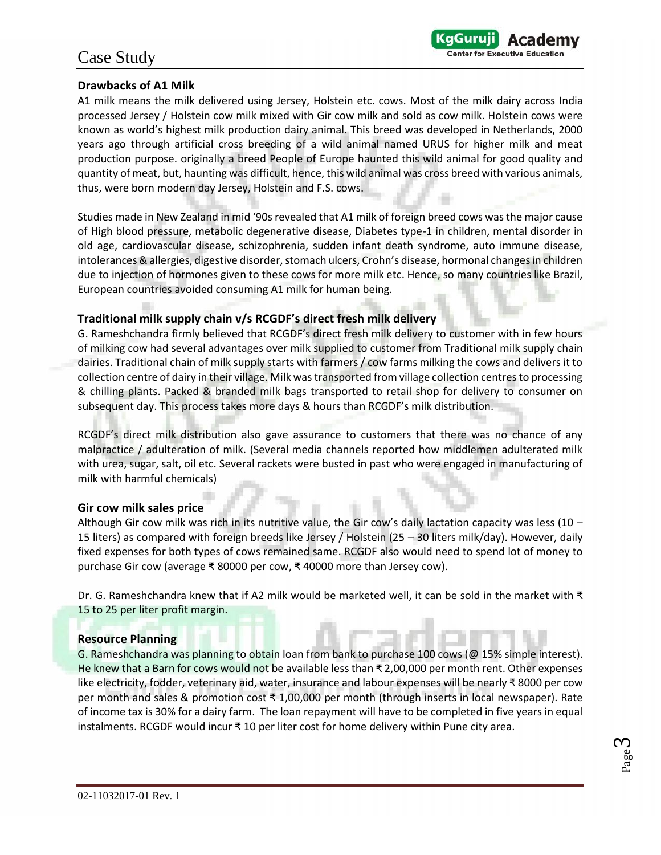### Case Study

### **Drawbacks of A1 Milk**

A1 milk means the milk delivered using Jersey, Holstein etc. cows. Most of the milk dairy across India processed Jersey / Holstein cow milk mixed with Gir cow milk and sold as cow milk. Holstein cows were known as world's highest milk production dairy animal. This breed was developed in Netherlands, 2000 years ago through artificial cross breeding of a wild animal named URUS for higher milk and meat production purpose. originally a breed People of Europe haunted this wild animal for good quality and quantity of meat, but, haunting was difficult, hence, this wild animal was cross breed with various animals, thus, were born modern day Jersey, Holstein and F.S. cows.

KaGuruji

**Center for Executive Education** 

Studies made in New Zealand in mid '90s revealed that A1 milk of foreign breed cows was the major cause of High blood pressure, metabolic degenerative disease, Diabetes type-1 in children, mental disorder in old age, cardiovascular disease, schizophrenia, sudden infant death syndrome, auto immune disease, intolerances & allergies, digestive disorder, stomach ulcers, Crohn's disease, hormonal changes in children due to injection of hormones given to these cows for more milk etc. Hence, so many countries like Brazil, European countries avoided consuming A1 milk for human being.

#### **Traditional milk supply chain v/s RCGDF's direct fresh milk delivery**

G. Rameshchandra firmly believed that RCGDF's direct fresh milk delivery to customer with in few hours of milking cow had several advantages over milk supplied to customer from Traditional milk supply chain dairies. Traditional chain of milk supply starts with farmers / cow farms milking the cows and delivers it to collection centre of dairy in their village. Milk was transported from village collection centres to processing & chilling plants. Packed & branded milk bags transported to retail shop for delivery to consumer on subsequent day. This process takes more days & hours than RCGDF's milk distribution.

RCGDF's direct milk distribution also gave assurance to customers that there was no chance of any malpractice / adulteration of milk. (Several media channels reported how middlemen adulterated milk with urea, sugar, salt, oil etc. Several rackets were busted in past who were engaged in manufacturing of milk with harmful chemicals)

#### **Gir cow milk sales price**

Although Gir cow milk was rich in its nutritive value, the Gir cow's daily lactation capacity was less (10 – 15 liters) as compared with foreign breeds like Jersey / Holstein (25 – 30 liters milk/day). However, daily fixed expenses for both types of cows remained same. RCGDF also would need to spend lot of money to purchase Gir cow (average ₹ 80000 per cow, ₹ 40000 more than Jersey cow).

Dr. G. Rameshchandra knew that if A2 milk would be marketed well, it can be sold in the market with ₹ 15 to 25 per liter profit margin.

#### **Resource Planning**

G. Rameshchandra was planning to obtain loan from bank to purchase 100 cows (@ 15% simple interest). He knew that a Barn for cows would not be available less than ₹ 2,00,000 per month rent. Other expenses like electricity, fodder, veterinary aid, water, insurance and labour expenses will be nearly ₹ 8000 per cow per month and sales & promotion cost ₹ 1,00,000 per month (through inserts in local newspaper). Rate of income tax is 30% for a dairy farm. The loan repayment will have to be completed in five years in equal instalments. RCGDF would incur ₹ 10 per liter cost for home delivery within Pune city area.